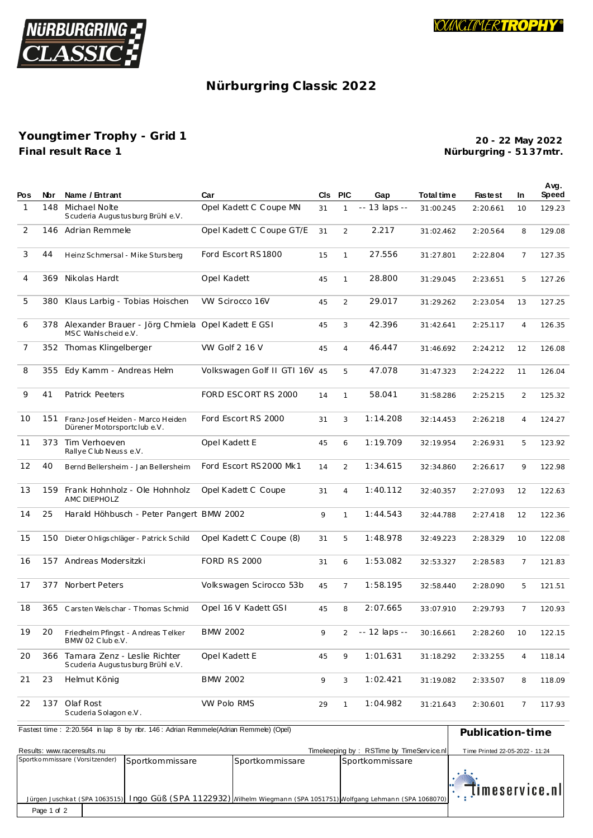

## Nürburgring Classic 2022

## Youngtimer Trophy - Grid 1 Final result Race 1

20 - 22 May 2022 Nürburgring - 5137mtr.

| Pos | Nbr | Name / Entrant                                                              | Car                           | CIs | <b>PIC</b>     | Gap           | Total time | <b>Fastest</b> | In.            | Avg.<br>Speed |
|-----|-----|-----------------------------------------------------------------------------|-------------------------------|-----|----------------|---------------|------------|----------------|----------------|---------------|
| 1   | 148 | Michael Nolte<br>Scuderia Augustusburg Brühl e.V.                           | Opel Kadett C Coupe MN        | 31  | 1              | -- 13 laps -- | 31:00.245  | 2:20.661       | 10             | 129.23        |
| 2   |     | 146 Adrian Remmele                                                          | Opel Kadett C Coupe GT/E      | 31  | 2              | 2.217         | 31:02.462  | 2:20.564       | 8              | 129.08        |
| 3   | 44  | Heinz Schmersal - Mike Stursberg                                            | Ford Escort RS1800            | 15  | $\mathbf{1}$   | 27.556        | 31:27.801  | 2:22.804       | 7              | 127.35        |
| 4   | 369 | Nikolas Hardt                                                               | Opel Kadett                   | 45  | $\mathbf{1}$   | 28.800        | 31:29.045  | 2:23.651       | 5              | 127.26        |
| 5   | 380 | Klaus Larbig - Tobias Hoischen                                              | VW Scirocco 16V               | 45  | $\overline{2}$ | 29.017        | 31:29.262  | 2:23.054       | 13             | 127.25        |
| 6   |     | 378 Alexander Brauer - Jörg Chmiela Opel Kadett E GSI<br>MSC Wahlscheide.V. |                               | 45  | 3              | 42.396        | 31:42.641  | 2:25.117       | $\overline{4}$ | 126.35        |
| 7   |     | 352 Thomas Klingelberger                                                    | VW Golf 2 16 V                | 45  | $\overline{4}$ | 46.447        | 31:46.692  | 2:24.212       | 12             | 126.08        |
| 8   | 355 | Edy Kamm - Andreas Helm                                                     | Volkswagen Golf II GTI 16V 45 |     | 5              | 47.078        | 31:47.323  | 2:24.222       | 11             | 126.04        |
| 9   | 41  | Patrick Peeters                                                             | FORD ESCORT RS 2000           | 14  | $\mathbf{1}$   | 58.041        | 31:58.286  | 2:25.215       | 2              | 125.32        |
| 10  | 151 | Franz-Josef Heiden - Marco Heiden<br>Dürener Motorsportclub e.V.            | Ford Escort RS 2000           | 31  | 3              | 1:14.208      | 32:14.453  | 2:26.218       | 4              | 124.27        |
| 11  | 373 | Tim Verhoeven<br>Rallye Club Neusse.V.                                      | Opel Kadett E                 | 45  | 6              | 1:19.709      | 32:19.954  | 2:26.931       | 5              | 123.92        |
| 12  | 40  | Bernd Bellersheim - Jan Bellersheim                                         | Ford Escort RS2000 Mk1        | 14  | 2              | 1:34.615      | 32:34.860  | 2:26.617       | 9              | 122.98        |
| 13  | 159 | Frank Hohnholz - Ole Hohnholz<br>AMC DIEPHOLZ                               | Opel Kadett C Coupe           | 31  | $\overline{4}$ | 1:40.112      | 32:40.357  | 2:27.093       | 12             | 122.63        |
| 14  | 25  | Harald Höhbusch - Peter Pangert BMW 2002                                    |                               | 9   | $\mathbf{1}$   | 1:44.543      | 32:44.788  | 2:27.418       | 12             | 122.36        |
| 15  | 150 | Dieter Ohligschläger - Patrick Schild                                       | Opel Kadett C Coupe (8)       | 31  | 5              | 1:48.978      | 32:49.223  | 2:28.329       | 10             | 122.08        |
| 16  | 157 | Andreas Modersitzki                                                         | <b>FORD RS 2000</b>           | 31  | 6              | 1:53.082      | 32:53.327  | 2:28.583       | 7              | 121.83        |
| 17  |     | 377 Norbert Peters                                                          | Volkswagen Scirocco 53b       | 45  | 7              | 1:58.195      | 32:58.440  | 2:28.090       | 5              | 121.51        |
| 18  |     | 365 Carsten Welschar - Thomas Schmid                                        | Opel 16 V Kadett GSI          | 45  | 8              | 2:07.665      | 33:07.910  | 2:29.793       | 7              | 120.93        |
| 19  | 20  | Friedhelm Pfingst - Andreas Telker<br>BMW 02 Clube.V.                       | BMW 2002                      |     |                | -- 12 laps -- | 30:16.661  | 2:28.260       | 10             | 122.15        |
| 20  |     | 366 Tamara Zenz - Leslie Richter<br>Scuderia Augustusburg Brühl e.V.        | Opel Kadett E                 | 45  | 9              | 1:01.631      | 31:18.292  | 2:33.255       | 4              | 118.14        |
| 21  | 23  | Helmut König                                                                | BMW 2002                      | 9   | 3              | 1:02.421      | 31:19.082  | 2:33.507       | 8              | 118.09        |
| 22  | 137 | Olaf Rost<br>Scuderia Solagon e.V.                                          | VW Polo RMS                   | 29  | $\mathbf{1}$   | 1:04.982      | 31:21.643  | 2:30.601       | 7              | 117.93        |

| Fastest time: 2:20.564 in lap 8 by nbr. 146: Adrian Remmele(Adrian Remmele) (Opel) | Publication-time |                                                                                                                    |                                          |                                 |
|------------------------------------------------------------------------------------|------------------|--------------------------------------------------------------------------------------------------------------------|------------------------------------------|---------------------------------|
| Results: www.raceresults.nu                                                        |                  |                                                                                                                    | Timekeeping by: RSTime by TimeService.nl | Time Printed 22-05-2022 - 11:24 |
| Sportkommissare (Vorsitzender)                                                     | Sportkommissare  | Sportkommissare                                                                                                    | Sportkommissare                          |                                 |
|                                                                                    |                  | Jürgen Juschkat (SPA 1063515) Ingo GÜB (SPA 1122932) Wilhelm Wiegmann (SPA 1051751) Wolfgang Lehmann (SPA 1068070) |                                          | $  \cdot  $ timeservice.nl      |
| Page 1 of 2                                                                        |                  |                                                                                                                    |                                          |                                 |